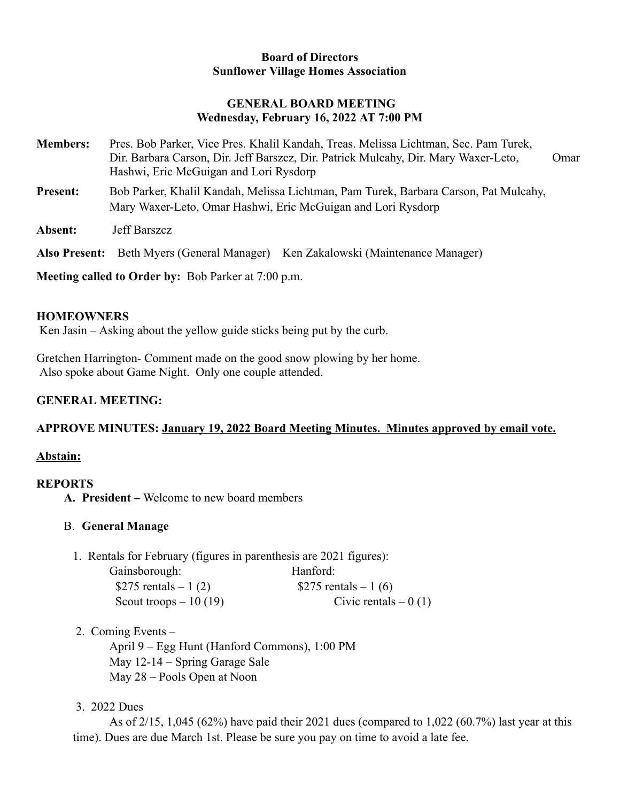#### **Board of Directors Sunflower Village Homes Association**

#### **GENERAL BOARD MEETING Wednesday, February 16, 2022 AT 7:00 PM**

- **Members:** Pres. Bob Parker, Vice Pres. Khalil Kandah, Treas. Melissa Lichtman, Sec. Pam Turek, Dir. Barbara Carson, Dir. Jeff Barszcz, Dir. Patrick Mulcahy, Dir. Mary Waxer-Leto, Omar Hashwi, Eric McGuigan and Lori Rysdorp **Present:** Bob Parker, Khalil Kandah, Melissa Lichtman, Pam Turek, Barbara Carson, Pat Mulcahy, Mary Waxer-Leto, Omar Hashwi, Eric McGuigan and Lori Rysdorp
- **Absent:** Jeff Barszcz

**Also Present:** Beth Myers (General Manager) Ken Zakalowski (Maintenance Manager)

**Meeting called to Order by:** Bob Parker at 7:00 p.m.

#### **HOMEOWNERS**

Ken Jasin – Asking about the yellow guide sticks being put by the curb.

Gretchen Harrington- Comment made on the good snow plowing by her home. Also spoke about Game Night. Only one couple attended.

# **GENERAL MEETING:**

# **APPROVE MINUTES: January 19, 2022 Board Meeting Minutes. Minutes approved by email vote.**

# **Abstain:**

# **REPORTS**

**A. President –** Welcome to new board members

# B. **General Manage**

1. Rentals for February (figures in parenthesis are 2021 figures):

| Gainsborough:          | Hanford:              |
|------------------------|-----------------------|
| \$275 rentals $-1(2)$  | \$275 rentals $-1(6)$ |
| Scout troops $-10(19)$ | Civic rentals $-0(1)$ |

2. Coming Events –

April 9 – Egg Hunt (Hanford Commons), 1:00 PM May 12-14 – Spring Garage Sale May 28 – Pools Open at Noon

3. 2022 Dues

As of  $2/15$ , 1,045 (62%) have paid their 2021 dues (compared to 1,022 (60.7%) last year at this time). Dues are due March 1st. Please be sure you pay on time to avoid a late fee.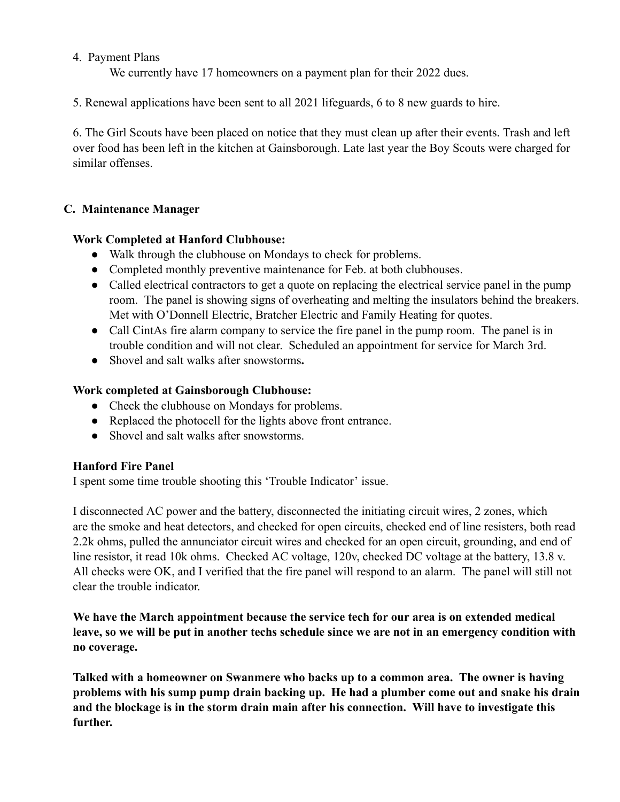#### 4. Payment Plans

We currently have 17 homeowners on a payment plan for their 2022 dues.

5. Renewal applications have been sent to all 2021 lifeguards, 6 to 8 new guards to hire.

6. The Girl Scouts have been placed on notice that they must clean up after their events. Trash and left over food has been left in the kitchen at Gainsborough. Late last year the Boy Scouts were charged for similar offenses.

# **C. Maintenance Manager**

# **Work Completed at Hanford Clubhouse:**

- Walk through the clubhouse on Mondays to check for problems.
- Completed monthly preventive maintenance for Feb. at both clubhouses.
- Called electrical contractors to get a quote on replacing the electrical service panel in the pump room. The panel is showing signs of overheating and melting the insulators behind the breakers. Met with O'Donnell Electric, Bratcher Electric and Family Heating for quotes.
- Call CintAs fire alarm company to service the fire panel in the pump room. The panel is in trouble condition and will not clear. Scheduled an appointment for service for March 3rd.
- Shovel and salt walks after snowstorms**.**

# **Work completed at Gainsborough Clubhouse:**

- Check the clubhouse on Mondays for problems.
- Replaced the photocell for the lights above front entrance.
- Shovel and salt walks after snowstorms.

# **Hanford Fire Panel**

I spent some time trouble shooting this 'Trouble Indicator' issue.

I disconnected AC power and the battery, disconnected the initiating circuit wires, 2 zones, which are the smoke and heat detectors, and checked for open circuits, checked end of line resisters, both read 2.2k ohms, pulled the annunciator circuit wires and checked for an open circuit, grounding, and end of line resistor, it read 10k ohms. Checked AC voltage, 120v, checked DC voltage at the battery, 13.8 v. All checks were OK, and I verified that the fire panel will respond to an alarm. The panel will still not clear the trouble indicator.

**We have the March appointment because the service tech for our area is on extended medical leave, so we will be put in another techs schedule since we are not in an emergency condition with no coverage.**

**Talked with a homeowner on Swanmere who backs up to a common area. The owner is having problems with his sump pump drain backing up. He had a plumber come out and snake his drain and the blockage is in the storm drain main after his connection. Will have to investigate this further.**